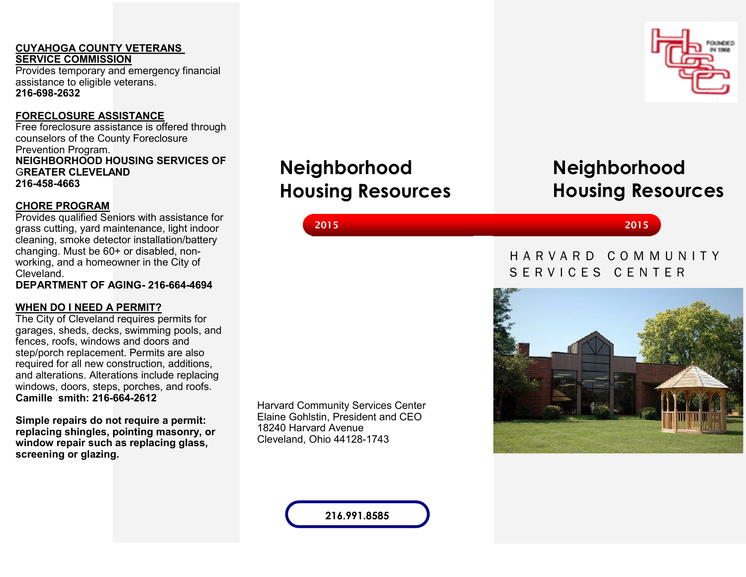# **CUYAHOGA COUNTY VETERANS SERVICE COMMISSION**

Provides temporary and emergency financial assistance to eligible veterans. **216-698-2632**

# **FORECLOSURE ASSISTANCE**

Free foreclosure assistance is offered through counselors of the County Foreclosure Prevention Program. **NEIGHBORHOOD HOUSING SERVICES OF** G**REATER CLEVELAND 216-458-4663**

# **CHORE PROGRAM**

Provides qualified Seniors with assistance for grass cutting, yard maintenance, light indoor cleaning, smoke detector installation/battery changing. Must be 60+ or disabled, nonworking, and a homeowner in the City of Cleveland.

**DEPARTMENT OF AGING- 216-664-4694**

# **WHEN DO I NEED A PERMIT?**

The City of Cleveland requires permits for garages, sheds, decks, swimming pools, and fences, roofs, windows and doors and step/porch replacement. Permits are also required for all new construction, additions, and alterations. Alterations include replacing windows, doors, steps, porches, and roofs. **Camille smith: 216-664-2612**

**Simple repairs do not require a permit: replacing shingles, pointing masonry, or window repair such as replacing glass, screening or glazing.**

Harvard Community Services Center Elaine Gohlstin, President and CEO 18240 Harvard Avenue Cleveland, Ohio 44128-1743

**Neighborhood** 

**Housing Resources** 

**216.991.8585**



**2015 2015**

# H A R V A R D C O M M U N I T Y SERVICES CENTER